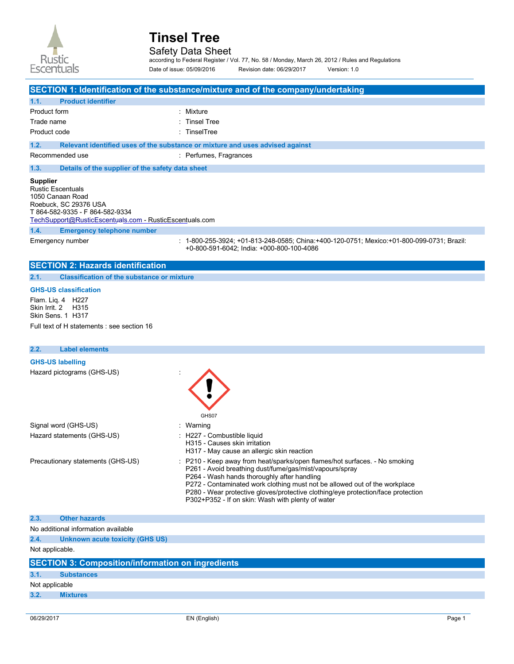

Safety Data Sheet

according to Federal Register / Vol. 77, No. 58 / Monday, March 26, 2012 / Rules and Regulations Date of issue: 05/09/2016 Revision date: 06/29/2017 Version: 1.0

**SECTION 1: Identification of the substance/mixture and of the company/undertaking 1.1. Product identifier**  Product form : Mixture Trade name  $\qquad \qquad$ : Tinsel Tree Product code : TinselTree **1.2. Relevant identified uses of the substance or mixture and uses advised against**  Recommended use : Perfumes, Fragrances **1.3. Details of the supplier of the safety data sheet 1.4. Emergency telephone number**  Emergency number : 1-800-255-3924; +01-813-248-0585; China:+400-120-0751; Mexico:+01-800-099-0731; Brazil: +0-800-591-6042; India: +000-800-100-4086 **Supplier**  Rustic Escentuals 1050 Canaan Road Roebuck, SC 29376 USA T 864-582-9335 - F 864-582-9334 [TechSupport@RusticEscentuals.com](mailto:TechSupport@RusticEscentuals.com) - RusticEscentuals.com

#### **SECTION 2: Hazards identification**

**2.1. Classification of the substance or mixture** 

#### **GHS-US classification**

Flam. Liq. 4 H227 Skin Irrit. 2 H315 Skin Sens. 1 H317 Full text of H statements : see section 16

#### **2.2. Label elements**

#### **GHS-US labelling**

Hazard pictograms (GHS-US) :

|                                   | GHS07                                                                                                                                                                                                                                                                                                                                                                                                       |
|-----------------------------------|-------------------------------------------------------------------------------------------------------------------------------------------------------------------------------------------------------------------------------------------------------------------------------------------------------------------------------------------------------------------------------------------------------------|
| Signal word (GHS-US)              | : Warning                                                                                                                                                                                                                                                                                                                                                                                                   |
| Hazard statements (GHS-US)        | : H227 - Combustible liquid<br>H315 - Causes skin irritation<br>H317 - May cause an allergic skin reaction                                                                                                                                                                                                                                                                                                  |
| Precautionary statements (GHS-US) | : P210 - Keep away from heat/sparks/open flames/hot surfaces. - No smoking<br>P261 - Avoid breathing dust/fume/gas/mist/vapours/spray<br>P264 - Wash hands thoroughly after handling<br>P272 - Contaminated work clothing must not be allowed out of the workplace<br>P280 - Wear protective gloves/protective clothing/eye protection/face protection<br>P302+P352 - If on skin: Wash with plenty of water |

#### **2.3. Other hazards**

No additional information available

**2.4. Unknown acute toxicity (GHS US)** 

Not applicable.

|                | <b>SECTION 3: Composition/information on ingredients</b> |
|----------------|----------------------------------------------------------|
|                |                                                          |
| 3.1.           | <b>Substances</b>                                        |
| Not applicable |                                                          |
| 3.2.           | <b>Mixtures</b>                                          |
|                |                                                          |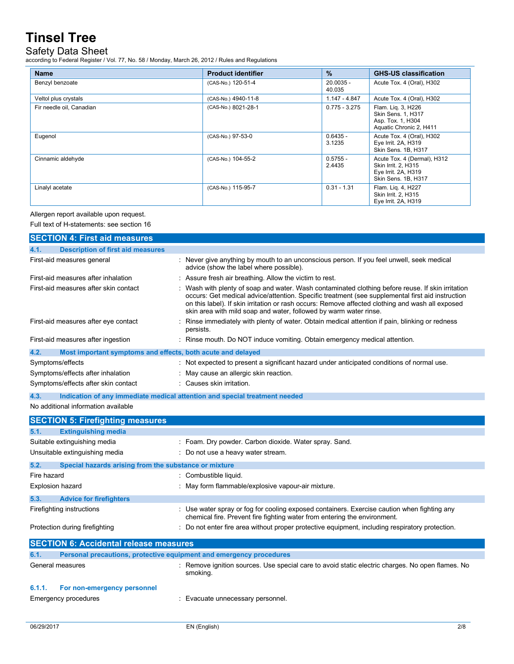### Safety Data Sheet

according to Federal Register / Vol. 77, No. 58 / Monday, March 26, 2012 / Rules and Regulations

| <b>Name</b>              | <b>Product identifier</b> | $\frac{9}{6}$         | <b>GHS-US classification</b>                                                                     |
|--------------------------|---------------------------|-----------------------|--------------------------------------------------------------------------------------------------|
| Benzyl benzoate          | (CAS-No.) 120-51-4        | $20.0035 -$<br>40.035 | Acute Tox. 4 (Oral), H302                                                                        |
| Veltol plus crystals     | (CAS-No.) 4940-11-8       | $1.147 - 4.847$       | Acute Tox. 4 (Oral), H302                                                                        |
| Fir needle oil, Canadian | (CAS-No.) 8021-28-1       | $0.775 - 3.275$       | Flam. Lig. 3, H226<br>Skin Sens. 1, H317<br>Asp. Tox. 1, H304<br>Aquatic Chronic 2, H411         |
| Eugenol                  | (CAS-No.) 97-53-0         | $0.6435 -$<br>3.1235  | Acute Tox. 4 (Oral), H302<br>Eye Irrit. 2A, H319<br>Skin Sens. 1B, H317                          |
| Cinnamic aldehyde        | (CAS-No.) 104-55-2        | $0.5755 -$<br>2.4435  | Acute Tox. 4 (Dermal), H312<br>Skin Irrit. 2, H315<br>Eye Irrit. 2A, H319<br>Skin Sens. 1B, H317 |
| Linalyl acetate          | (CAS-No.) 115-95-7        | $0.31 - 1.31$         | Flam. Liq. 4, H227<br>Skin Irrit. 2, H315<br>Eye Irrit. 2A, H319                                 |

Allergen report available upon request.

Full text of H-statements: see section 16

| <b>SECTION 4: First aid measures</b>                                |                                                                                                                                                                                                                                                                                                                                                                                |
|---------------------------------------------------------------------|--------------------------------------------------------------------------------------------------------------------------------------------------------------------------------------------------------------------------------------------------------------------------------------------------------------------------------------------------------------------------------|
| <b>Description of first aid measures</b><br>4.1.                    |                                                                                                                                                                                                                                                                                                                                                                                |
| First-aid measures general                                          | : Never give anything by mouth to an unconscious person. If you feel unwell, seek medical<br>advice (show the label where possible).                                                                                                                                                                                                                                           |
| First-aid measures after inhalation                                 | : Assure fresh air breathing. Allow the victim to rest.                                                                                                                                                                                                                                                                                                                        |
| First-aid measures after skin contact                               | : Wash with plenty of soap and water. Wash contaminated clothing before reuse. If skin irritation<br>occurs: Get medical advice/attention. Specific treatment (see supplemental first aid instruction<br>on this label). If skin irritation or rash occurs: Remove affected clothing and wash all exposed<br>skin area with mild soap and water, followed by warm water rinse. |
| First-aid measures after eye contact                                | : Rinse immediately with plenty of water. Obtain medical attention if pain, blinking or redness<br>persists.                                                                                                                                                                                                                                                                   |
| First-aid measures after ingestion                                  | : Rinse mouth. Do NOT induce vomiting. Obtain emergency medical attention.                                                                                                                                                                                                                                                                                                     |
| Most important symptoms and effects, both acute and delayed<br>4.2. |                                                                                                                                                                                                                                                                                                                                                                                |
| Symptoms/effects                                                    | : Not expected to present a significant hazard under anticipated conditions of normal use.                                                                                                                                                                                                                                                                                     |
| Symptoms/effects after inhalation                                   | : May cause an allergic skin reaction.                                                                                                                                                                                                                                                                                                                                         |
| Symptoms/effects after skin contact                                 | : Causes skin irritation.                                                                                                                                                                                                                                                                                                                                                      |
| 4.3.                                                                | Indication of any immediate medical attention and special treatment needed                                                                                                                                                                                                                                                                                                     |

No additional information available

| <b>SECTION 5: Firefighting measures</b>                                     |                                                                                                                                                                          |
|-----------------------------------------------------------------------------|--------------------------------------------------------------------------------------------------------------------------------------------------------------------------|
| 5.1.<br><b>Extinguishing media</b>                                          |                                                                                                                                                                          |
| Suitable extinguishing media                                                | : Foam. Dry powder. Carbon dioxide. Water spray. Sand.                                                                                                                   |
| Unsuitable extinguishing media                                              | : Do not use a heavy water stream.                                                                                                                                       |
| 5.2.                                                                        | Special hazards arising from the substance or mixture                                                                                                                    |
| Fire hazard<br>: Combustible liquid.                                        |                                                                                                                                                                          |
| Explosion hazard                                                            | : May form flammable/explosive vapour-air mixture.                                                                                                                       |
| 5.3.<br><b>Advice for firefighters</b>                                      |                                                                                                                                                                          |
| Firefighting instructions                                                   | : Use water spray or fog for cooling exposed containers. Exercise caution when fighting any<br>chemical fire. Prevent fire fighting water from entering the environment. |
| Protection during firefighting                                              | : Do not enter fire area without proper protective equipment, including respiratory protection.                                                                          |
|                                                                             | <b>SECTION 6: Accidental release measures</b>                                                                                                                            |
| Personal precautions, protective equipment and emergency procedures<br>6.1. |                                                                                                                                                                          |
| General measures                                                            | : Remove ignition sources. Use special care to avoid static electric charges. No open flames. No<br>smoking.                                                             |
| 6.1.1.                                                                      | For non-emergency personnel                                                                                                                                              |
| Emergency procedures<br>: Evacuate unnecessary personnel.                   |                                                                                                                                                                          |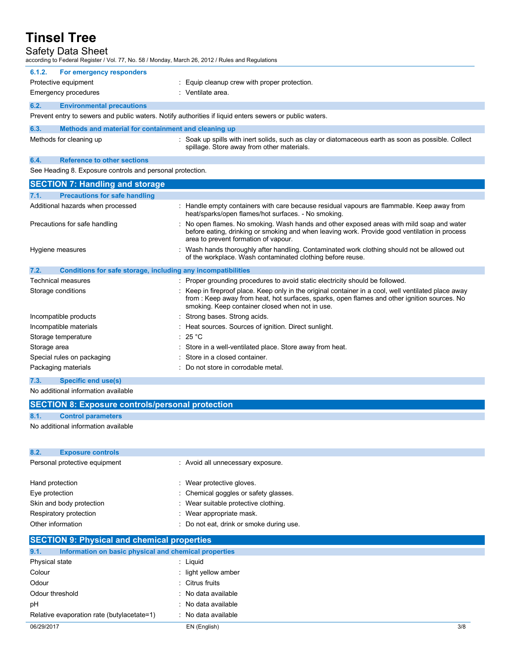| <b>Safety Data Sheet</b><br>according to Federal Register / Vol. 77, No. 58 / Monday, March 26, 2012 / Rules and Regulations |                                                                                                                                                                                                                                                         |  |
|------------------------------------------------------------------------------------------------------------------------------|---------------------------------------------------------------------------------------------------------------------------------------------------------------------------------------------------------------------------------------------------------|--|
| 6.1.2.<br>For emergency responders                                                                                           |                                                                                                                                                                                                                                                         |  |
| Protective equipment                                                                                                         | : Equip cleanup crew with proper protection.                                                                                                                                                                                                            |  |
| Emergency procedures                                                                                                         | : Ventilate area.                                                                                                                                                                                                                                       |  |
| 6.2.<br><b>Environmental precautions</b>                                                                                     |                                                                                                                                                                                                                                                         |  |
|                                                                                                                              | Prevent entry to sewers and public waters. Notify authorities if liquid enters sewers or public waters.                                                                                                                                                 |  |
| 6.3.<br>Methods and material for containment and cleaning up                                                                 |                                                                                                                                                                                                                                                         |  |
| Methods for cleaning up                                                                                                      | : Soak up spills with inert solids, such as clay or diatomaceous earth as soon as possible. Collect<br>spillage. Store away from other materials.                                                                                                       |  |
| 6.4.<br><b>Reference to other sections</b>                                                                                   |                                                                                                                                                                                                                                                         |  |
| See Heading 8. Exposure controls and personal protection.                                                                    |                                                                                                                                                                                                                                                         |  |
| <b>SECTION 7: Handling and storage</b>                                                                                       |                                                                                                                                                                                                                                                         |  |
| <b>Precautions for safe handling</b><br>7.1.                                                                                 |                                                                                                                                                                                                                                                         |  |
| Additional hazards when processed                                                                                            | : Handle empty containers with care because residual vapours are flammable. Keep away from<br>heat/sparks/open flames/hot surfaces. - No smoking.                                                                                                       |  |
| Precautions for safe handling                                                                                                | : No open flames. No smoking. Wash hands and other exposed areas with mild soap and water<br>before eating, drinking or smoking and when leaving work. Provide good ventilation in process<br>area to prevent formation of vapour.                      |  |
| Hygiene measures                                                                                                             | : Wash hands thoroughly after handling. Contaminated work clothing should not be allowed out<br>of the workplace. Wash contaminated clothing before reuse.                                                                                              |  |
| Conditions for safe storage, including any incompatibilities<br>7.2.                                                         |                                                                                                                                                                                                                                                         |  |
| Technical measures                                                                                                           | : Proper grounding procedures to avoid static electricity should be followed.                                                                                                                                                                           |  |
| Storage conditions                                                                                                           | : Keep in fireproof place. Keep only in the original container in a cool, well ventilated place away<br>from : Keep away from heat, hot surfaces, sparks, open flames and other ignition sources. No<br>smoking. Keep container closed when not in use. |  |
| Incompatible products                                                                                                        | : Strong bases. Strong acids.                                                                                                                                                                                                                           |  |
| Incompatible materials                                                                                                       | : Heat sources. Sources of ignition. Direct sunlight.                                                                                                                                                                                                   |  |
| Storage temperature                                                                                                          | : 25 °C                                                                                                                                                                                                                                                 |  |
| Storage area                                                                                                                 | : Store in a well-ventilated place. Store away from heat.                                                                                                                                                                                               |  |
| Special rules on packaging                                                                                                   | : Store in a closed container.                                                                                                                                                                                                                          |  |

- Packaging materials **Packaging materials** : Do not store in corrodable metal.
- **7.3. Specific end use(s)**

No additional information available

Relative evaporation rate (butylacetate=1)

| <b>SECTION 8: Exposure controls/personal protection</b>       |                                          |  |
|---------------------------------------------------------------|------------------------------------------|--|
| 8.1.<br><b>Control parameters</b>                             |                                          |  |
| No additional information available                           |                                          |  |
|                                                               |                                          |  |
| 8.2.<br><b>Exposure controls</b>                              |                                          |  |
| Personal protective equipment                                 | : Avoid all unnecessary exposure.        |  |
| Hand protection                                               | : Wear protective gloves.                |  |
| Eye protection                                                | : Chemical goggles or safety glasses.    |  |
| Skin and body protection                                      | : Wear suitable protective clothing.     |  |
| Respiratory protection                                        | : Wear appropriate mask.                 |  |
| Other information                                             | : Do not eat, drink or smoke during use. |  |
| <b>SECTION 9: Physical and chemical properties</b>            |                                          |  |
| Information on basic physical and chemical properties<br>9.1. |                                          |  |
| Physical state                                                | : Liquid                                 |  |
| Colour                                                        | : light yellow amber                     |  |
| Odour                                                         | : Citrus fruits                          |  |
| Odour threshold                                               | : No data available                      |  |
| pH                                                            | : No data available                      |  |

: No data available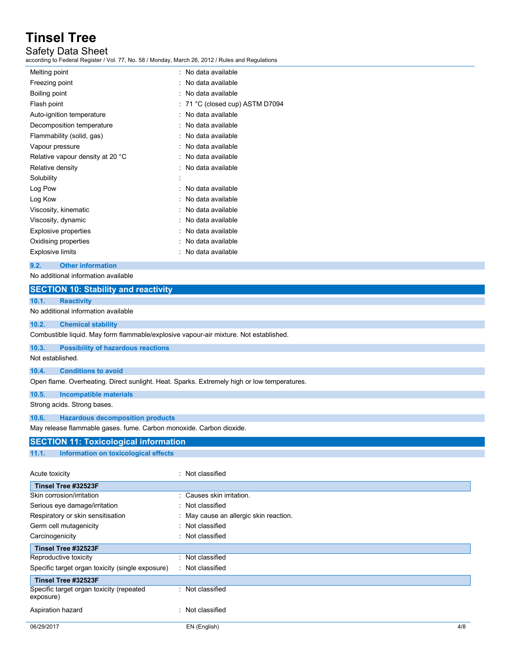### Safety Data Sheet

according to Federal Register / Vol. 77, No. 58 / Monday, March 26, 2012 / Rules and Regulations

| : No data available               |
|-----------------------------------|
| No data available                 |
| No data available                 |
| $: 71 °C$ (closed cup) ASTM D7094 |
| No data available                 |
| No data available                 |
| No data available                 |
| No data available                 |
| No data available                 |
| No data available                 |
|                                   |
| No data available                 |
| No data available                 |
| No data available                 |
| No data available                 |
| No data available                 |
| No data available                 |
| No data available                 |
|                                   |

**9.2. Other information** 

exposure)

No additional information available

| <b>SECTION 10: Stability and reactivity</b>                                                 |                                        |
|---------------------------------------------------------------------------------------------|----------------------------------------|
| <b>Reactivity</b><br>10.1.                                                                  |                                        |
| No additional information available                                                         |                                        |
| 10.2.<br><b>Chemical stability</b>                                                          |                                        |
| Combustible liquid. May form flammable/explosive vapour-air mixture. Not established.       |                                        |
| 10.3.<br><b>Possibility of hazardous reactions</b>                                          |                                        |
| Not established.                                                                            |                                        |
| 10.4.<br><b>Conditions to avoid</b>                                                         |                                        |
| Open flame. Overheating. Direct sunlight. Heat. Sparks. Extremely high or low temperatures. |                                        |
| 10.5.<br><b>Incompatible materials</b>                                                      |                                        |
| Strong acids. Strong bases.                                                                 |                                        |
| 10.6.<br><b>Hazardous decomposition products</b>                                            |                                        |
| May release flammable gases. fume. Carbon monoxide. Carbon dioxide.                         |                                        |
| <b>SECTION 11: Toxicological information</b>                                                |                                        |
| 11.1.<br>Information on toxicological effects                                               |                                        |
|                                                                                             |                                        |
| Acute toxicity                                                                              | : Not classified                       |
| Tinsel Tree #32523F                                                                         |                                        |
| Skin corrosion/irritation                                                                   | : Causes skin irritation.              |
| Serious eye damage/irritation                                                               | : Not classified                       |
| Respiratory or skin sensitisation                                                           | : May cause an allergic skin reaction. |
| Germ cell mutagenicity                                                                      | : Not classified                       |
| Carcinogenicity                                                                             | : Not classified                       |
| Tinsel Tree #32523F                                                                         |                                        |
| Reproductive toxicity                                                                       | : Not classified                       |
| Specific target organ toxicity (single exposure)                                            | : Not classified                       |
| Tinsel Tree #32523F                                                                         |                                        |
| Specific target organ toxicity (repeated                                                    | Not classified                         |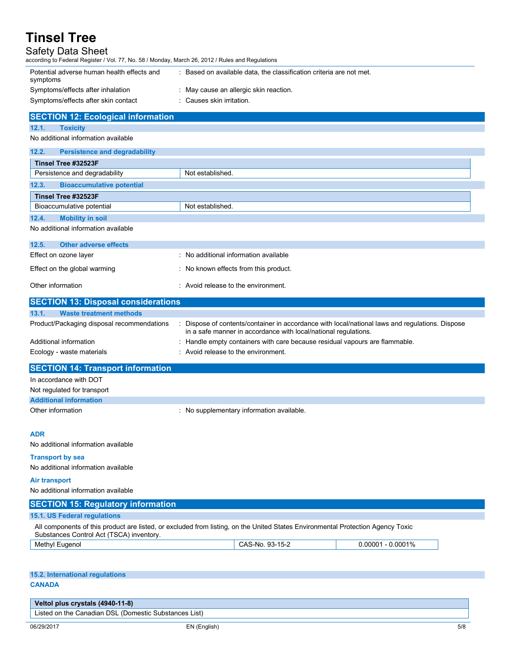### Safety Data Sheet

| Safety Data Sheet<br>according to Federal Register / Vol. 77, No. 58 / Monday, March 26, 2012 / Rules and Regulations |                                                                                                                                 |
|-----------------------------------------------------------------------------------------------------------------------|---------------------------------------------------------------------------------------------------------------------------------|
| Potential adverse human health effects and<br>symptoms                                                                | : Based on available data, the classification criteria are not met.                                                             |
| Symptoms/effects after inhalation                                                                                     | : May cause an allergic skin reaction.                                                                                          |
| Symptoms/effects after skin contact                                                                                   | : Causes skin irritation.                                                                                                       |
| <b>SECTION 12: Ecological information</b>                                                                             |                                                                                                                                 |
| 12.1.<br><b>Toxicity</b>                                                                                              |                                                                                                                                 |
| No additional information available                                                                                   |                                                                                                                                 |
| 12.2.<br><b>Persistence and degradability</b>                                                                         |                                                                                                                                 |
| Tinsel Tree #32523F                                                                                                   |                                                                                                                                 |
| Persistence and degradability                                                                                         | Not established.                                                                                                                |
| 12.3.<br><b>Bioaccumulative potential</b>                                                                             |                                                                                                                                 |
| Tinsel Tree #32523F                                                                                                   |                                                                                                                                 |
| Bioaccumulative potential                                                                                             | Not established.                                                                                                                |
| 12.4.<br><b>Mobility in soil</b>                                                                                      |                                                                                                                                 |
| No additional information available                                                                                   |                                                                                                                                 |
| 12.5.<br><b>Other adverse effects</b>                                                                                 |                                                                                                                                 |
| Effect on ozone layer                                                                                                 | : No additional information available                                                                                           |
| Effect on the global warming                                                                                          | : No known effects from this product.                                                                                           |
| Other information                                                                                                     | : Avoid release to the environment.                                                                                             |
| <b>SECTION 13: Disposal considerations</b>                                                                            |                                                                                                                                 |
| 13.1.<br><b>Waste treatment methods</b>                                                                               |                                                                                                                                 |
| Product/Packaging disposal recommendations                                                                            | Dispose of contents/container in accordance with local/national laws and regulations. Dispose                                   |
|                                                                                                                       | in a safe manner in accordance with local/national regulations.                                                                 |
| Additional information                                                                                                | Handle empty containers with care because residual vapours are flammable.<br>: Avoid release to the environment.                |
| Ecology - waste materials                                                                                             |                                                                                                                                 |
| <b>SECTION 14: Transport information</b>                                                                              |                                                                                                                                 |
| In accordance with DOT                                                                                                |                                                                                                                                 |
| Not regulated for transport                                                                                           |                                                                                                                                 |
| <b>Additional information</b>                                                                                         |                                                                                                                                 |
| Other information                                                                                                     | : No supplementary information available.                                                                                       |
| <b>ADR</b>                                                                                                            |                                                                                                                                 |
| No additional information available                                                                                   |                                                                                                                                 |
| <b>Transport by sea</b>                                                                                               |                                                                                                                                 |
| No additional information available                                                                                   |                                                                                                                                 |
| <b>Air transport</b>                                                                                                  |                                                                                                                                 |
| No additional information available                                                                                   |                                                                                                                                 |
| <b>SECTION 15: Regulatory information</b>                                                                             |                                                                                                                                 |
| 15.1. US Federal regulations                                                                                          |                                                                                                                                 |
| Substances Control Act (TSCA) inventory.                                                                              | All components of this product are listed, or excluded from listing, on the United States Environmental Protection Agency Toxic |
| Methyl Eugenol                                                                                                        | CAS-No. 93-15-2<br>$0.00001 - 0.0001\%$                                                                                         |
|                                                                                                                       |                                                                                                                                 |
| 15.2. International regulations                                                                                       |                                                                                                                                 |
| <b>CANADA</b>                                                                                                         |                                                                                                                                 |
| Veltol plus crystals (4940-11-8)                                                                                      |                                                                                                                                 |

Listed on the Canadian DSL (Domestic Substances List)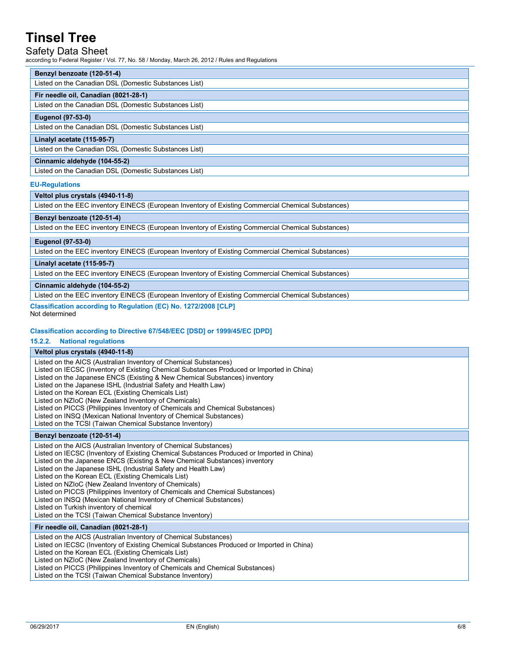### Safety Data Sheet

according to Federal Register / Vol. 77, No. 58 / Monday, March 26, 2012 / Rules and Regulations

#### **Benzyl benzoate (120-51-4)**

#### **Fir needle oil, Canadian (8021-28-1)**

#### Listed on the Canadian DSL (Domestic Substances List)

#### **Eugenol (97-53-0)**

Listed on the Canadian DSL (Domestic Substances List)

#### **Linalyl acetate (115-95-7)**

Listed on the Canadian DSL (Domestic Substances List)

#### **Cinnamic aldehyde (104-55-2)**

Listed on the Canadian DSL (Domestic Substances List)

#### **EU-Regulations**

#### **Veltol plus crystals (4940-11-8)**

Listed on the EEC inventory EINECS (European Inventory of Existing Commercial Chemical Substances)

#### **Benzyl benzoate (120-51-4)**

Listed on the EEC inventory EINECS (European Inventory of Existing Commercial Chemical Substances)

#### **Eugenol (97-53-0)**

Listed on the EEC inventory EINECS (European Inventory of Existing Commercial Chemical Substances)

#### **Linalyl acetate (115-95-7)**

Listed on the EEC inventory EINECS (European Inventory of Existing Commercial Chemical Substances)

**Cinnamic aldehyde (104-55-2)** 

Listed on the EEC inventory EINECS (European Inventory of Existing Commercial Chemical Substances)

#### **Classification according to Regulation (EC) No. 1272/2008 [CLP]**  Not determined

#### **Classification according to Directive 67/548/EEC [DSD] or 1999/45/EC [DPD]**

#### **15.2.2. National regulations**

#### **Veltol plus crystals (4940-11-8)**  Listed on the AICS (Australian Inventory of Chemical Substances) Listed on IECSC (Inventory of Existing Chemical Substances Produced or Imported in China) Listed on the Japanese ENCS (Existing & New Chemical Substances) inventory Listed on the Japanese ISHL (Industrial Safety and Health Law) Listed on the Korean ECL (Existing Chemicals List) Listed on NZIoC (New Zealand Inventory of Chemicals) Listed on PICCS (Philippines Inventory of Chemicals and Chemical Substances) Listed on INSQ (Mexican National Inventory of Chemical Substances) Listed on the TCSI (Taiwan Chemical Substance Inventory) **Benzyl benzoate (120-51-4)**  Listed on the AICS (Australian Inventory of Chemical Substances) Listed on IECSC (Inventory of Existing Chemical Substances Produced or Imported in China) Listed on the Japanese ENCS (Existing & New Chemical Substances) inventory Listed on the Japanese ISHL (Industrial Safety and Health Law) Listed on the Korean ECL (Existing Chemicals List) Listed on NZIoC (New Zealand Inventory of Chemicals) Listed on PICCS (Philippines Inventory of Chemicals and Chemical Substances) Listed on INSQ (Mexican National Inventory of Chemical Substances) Listed on Turkish inventory of chemical Listed on the TCSI (Taiwan Chemical Substance Inventory) **Fir needle oil, Canadian (8021-28-1)**  Listed on the AICS (Australian Inventory of Chemical Substances) Listed on IECSC (Inventory of Existing Chemical Substances Produced or Imported in China) Listed on the Korean ECL (Existing Chemicals List) Listed on NZIoC (New Zealand Inventory of Chemicals) Listed on PICCS (Philippines Inventory of Chemicals and Chemical Substances) Listed on the TCSI (Taiwan Chemical Substance Inventory)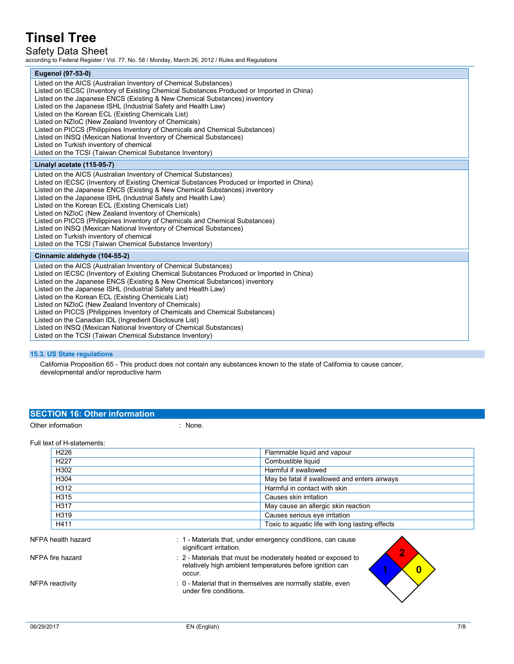### Safety Data Sheet

according to Federal Register / Vol. 77, No. 58 / Monday, March 26, 2012 / Rules and Regulations

| Eugenol (97-53-0)                                                                                                                                                                                                                                                                                                                                                                                                                                                                                                                                                                                                                                                                                        |
|----------------------------------------------------------------------------------------------------------------------------------------------------------------------------------------------------------------------------------------------------------------------------------------------------------------------------------------------------------------------------------------------------------------------------------------------------------------------------------------------------------------------------------------------------------------------------------------------------------------------------------------------------------------------------------------------------------|
| Listed on the AICS (Australian Inventory of Chemical Substances)<br>Listed on IECSC (Inventory of Existing Chemical Substances Produced or Imported in China)<br>Listed on the Japanese ENCS (Existing & New Chemical Substances) inventory<br>Listed on the Japanese ISHL (Industrial Safety and Health Law)<br>Listed on the Korean ECL (Existing Chemicals List)<br>Listed on NZIoC (New Zealand Inventory of Chemicals)<br>Listed on PICCS (Philippines Inventory of Chemicals and Chemical Substances)<br>Listed on INSQ (Mexican National Inventory of Chemical Substances)<br>Listed on Turkish inventory of chemical<br>Listed on the TCSI (Taiwan Chemical Substance Inventory)                 |
| Linalyl acetate (115-95-7)                                                                                                                                                                                                                                                                                                                                                                                                                                                                                                                                                                                                                                                                               |
| Listed on the AICS (Australian Inventory of Chemical Substances)<br>Listed on IECSC (Inventory of Existing Chemical Substances Produced or Imported in China)<br>Listed on the Japanese ENCS (Existing & New Chemical Substances) inventory<br>Listed on the Japanese ISHL (Industrial Safety and Health Law)<br>Listed on the Korean ECL (Existing Chemicals List)<br>Listed on NZIoC (New Zealand Inventory of Chemicals)<br>Listed on PICCS (Philippines Inventory of Chemicals and Chemical Substances)<br>Listed on INSQ (Mexican National Inventory of Chemical Substances)<br>Listed on Turkish inventory of chemical<br>Listed on the TCSI (Taiwan Chemical Substance Inventory)                 |
| Cinnamic aldehyde (104-55-2)                                                                                                                                                                                                                                                                                                                                                                                                                                                                                                                                                                                                                                                                             |
| Listed on the AICS (Australian Inventory of Chemical Substances)<br>Listed on IECSC (Inventory of Existing Chemical Substances Produced or Imported in China)<br>Listed on the Japanese ENCS (Existing & New Chemical Substances) inventory<br>Listed on the Japanese ISHL (Industrial Safety and Health Law)<br>Listed on the Korean ECL (Existing Chemicals List)<br>Listed on NZIoC (New Zealand Inventory of Chemicals)<br>Listed on PICCS (Philippines Inventory of Chemicals and Chemical Substances)<br>Listed on the Canadian IDL (Ingredient Disclosure List)<br>Listed on INSQ (Mexican National Inventory of Chemical Substances)<br>Listed on the TCSI (Taiwan Chemical Substance Inventory) |

#### **15.3. US State regulations**

California Proposition 65 - This product does not contain any substances known to the state of California to cause cancer, developmental and/or reproductive harm

### **SECTION 16: Other information**

Other information in the set of the set of the set of the set of the set of the set of the set of the set of the set of the set of the set of the set of the set of the set of the set of the set of the set of the set of the

#### Full text of H-statements:

| H <sub>226</sub> | Flammable liquid and vapour                     |
|------------------|-------------------------------------------------|
| H <sub>227</sub> | Combustible liquid                              |
| H302             | Harmful if swallowed                            |
| H304             | May be fatal if swallowed and enters airways    |
| H312             | Harmful in contact with skin                    |
| H315             | Causes skin irritation                          |
| H317             | May cause an allergic skin reaction             |
| H319             | Causes serious eye irritation                   |
| H411             | Toxic to aquatic life with long lasting effects |

: 1 - Materials that, under emergency conditions, can cause

relatively high ambient temperatures before ignition can

|  |  | NFPA health hazard |
|--|--|--------------------|
|--|--|--------------------|

NFPA fire hazard **in the state of the state of the state of the STP-** 2 - Materials that must be moderately heated or exposed to

NFPA reactivity **in the state of the state of the state of the state of the state of the state of the state of the state of the state of the state of the state of the state of the state of the state of the state of the sta** 

occur.

significant irritation.

under fire conditions.

 $\overline{2}$ 

 $\overline{\mathbf{0}}$ 

 $\overline{1}$